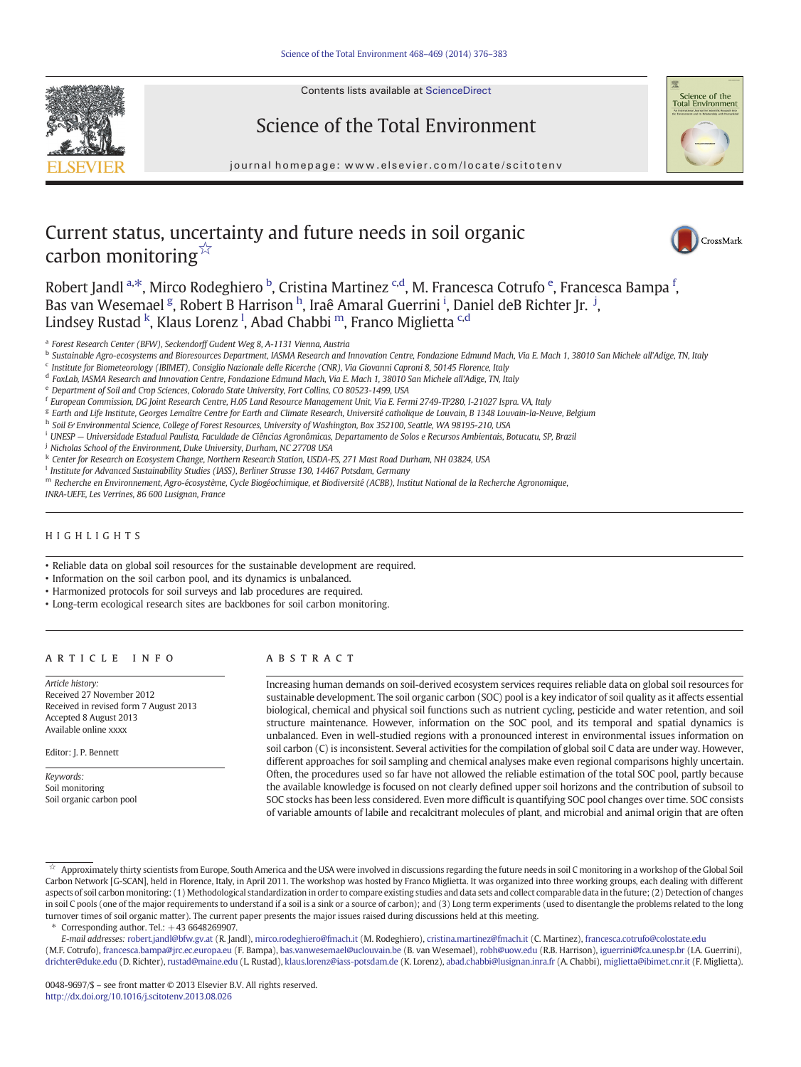Contents lists available at ScienceDirect





Science of the Total Environment

## journal homepage: www.elsevier.com/locate/scitotenv

# Current status, uncertainty and future needs in soil organic carbon monitoring $\vec{r}$



Robert Jandl <sup>a,\*</sup>, Mirco Rodeghiero <sup>b</sup>, Cristina Martinez <sup>c,d</sup>, M. Francesca Cotrufo <sup>e</sup>, Francesca Bampa <sup>f</sup>, Bas van Wesemael <sup>g</sup>, Robert B Harrison <sup>h</sup>, Iraê Amaral Guerrini <sup>i</sup>, Daniel deB Richter Jr. <sup>j</sup>, Lindsey Rustad <sup>k</sup>, Klaus Lorenz <sup>1</sup>, Abad Chabbi <sup>m</sup>, Franco Miglietta <sup>c,d</sup>

<sup>a</sup> Forest Research Center (BFW), Seckendorff Gudent Weg 8, A-1131 Vienna, Austria

<sup>g</sup> Earth and Life Institute, Georges Lemaître Centre for Earth and Climate Research, Université catholique de Louvain, B 1348 Louvain-la-Neuve, Belgium

h Soil & Environmental Science, College of Forest Resources, University of Washington, Box 352100, Seattle, WA 98195-210, USA

- <sup>i</sup> UNESP Universidade Estadual Paulista, Faculdade de Ciências Agronômicas, Departamento de Solos e Recursos Ambientais, Botucatu, SP, Brazil
- <sup>j</sup> Nicholas School of the Environment, Duke University, Durham, NC 27708 USA
- <sup>k</sup> Center for Research on Ecosystem Change, Northern Research Station, USDA-FS, 271 Mast Road Durham, NH 03824, USA
- $<sup>1</sup>$  Institute for Advanced Sustainability Studies (IASS), Berliner Strasse 130, 14467 Potsdam, Germany</sup>

INRA-UEFE, Les Verrines, 86 600 Lusignan, France

#### HIGHLIGHTS

- Reliable data on global soil resources for the sustainable development are required.
- Information on the soil carbon pool, and its dynamics is unbalanced.
- Harmonized protocols for soil surveys and lab procedures are required.
- Long-term ecological research sites are backbones for soil carbon monitoring.

### article info abstract

Article history: Received 27 November 2012 Received in revised form 7 August 2013 Accepted 8 August 2013 Available online xxxx

Editor: J. P. Bennett

Keywords: Soil monitoring Soil organic carbon pool

Increasing human demands on soil-derived ecosystem services requires reliable data on global soil resources for sustainable development. The soil organic carbon (SOC) pool is a key indicator of soil quality as it affects essential biological, chemical and physical soil functions such as nutrient cycling, pesticide and water retention, and soil structure maintenance. However, information on the SOC pool, and its temporal and spatial dynamics is unbalanced. Even in well-studied regions with a pronounced interest in environmental issues information on soil carbon (C) is inconsistent. Several activities for the compilation of global soil C data are under way. However, different approaches for soil sampling and chemical analyses make even regional comparisons highly uncertain. Often, the procedures used so far have not allowed the reliable estimation of the total SOC pool, partly because the available knowledge is focused on not clearly defined upper soil horizons and the contribution of subsoil to SOC stocks has been less considered. Even more difficult is quantifying SOC pool changes over time. SOC consists of variable amounts of labile and recalcitrant molecules of plant, and microbial and animal origin that are often

<sup>&</sup>lt;sup>b</sup> Sustainable Agro-ecosystems and Bioresources Department, IASMA Research and Innovation Centre, Fondazione Edmund Mach, Via E. Mach 1, 38010 San Michele all'Adige, TN, Italy

<sup>c</sup> Institute for Biometeorology (IBIMET), Consiglio Nazionale delle Ricerche (CNR), Via Giovanni Caproni 8, 50145 Florence, Italy

<sup>d</sup> FoxLab, IASMA Research and Innovation Centre, Fondazione Edmund Mach, Via E. Mach 1, 38010 San Michele all'Adige, TN, Italy

<sup>e</sup> Department of Soil and Crop Sciences, Colorado State University, Fort Collins, CO 80523-1499, USA

<sup>f</sup> European Commission, DG Joint Research Centre, H.05 Land Resource Management Unit, Via E. Fermi 2749-TP280, I-21027 Ispra. VA, Italy

<sup>m</sup> Recherche en Environnement, Agro-écosystème, Cycle Biogéochimique, et Biodiversité (ACBB), Institut National de la Recherche Agronomique,

Approximately thirty scientists from Europe, South America and the USA were involved in discussions regarding the future needs in soil C monitoring in a workshop of the Global Soil Carbon Network [G-SCAN], held in Florence, Italy, in April 2011. The workshop was hosted by Franco Miglietta. It was organized into three working groups, each dealing with different aspects of soil carbon monitoring: (1) Methodological standardization in order to compare existing studies and data sets and collect comparable data in the future; (2) Detection of changes in soil C pools (one of the major requirements to understand if a soil is a sink or a source of carbon); and (3) Long term experiments (used to disentangle the problems related to the long turnover times of soil organic matter). The current paper presents the major issues raised during discussions held at this meeting.

Corresponding author. Tel.:  $+436648269907$ .

E-mail addresses: [robert.jandl@bfw.gv.at](mailto:robert.jandl@bfw.gv.at) (R. Jandl), [mirco.rodeghiero@fmach.it](mailto:mirco.rodeghiero@fmach.it) (M. Rodeghiero), [cristina.martinez@fmach.it](mailto:cristina.martinez@fmach.it) (C. Martinez), [francesca.cotrufo@colostate.edu](mailto:francesca.cotrufo@colostate.edu) (M.F. Cotrufo), [francesca.bampa@jrc.ec.europa.eu](mailto:francesca.bampa@jrc.ec.europa.eu) (F. Bampa), [bas.vanwesemael@uclouvain.be](mailto:bas.vanwesemael@uclouvain.be) (B. van Wesemael), [robh@uow.edu](mailto:robh@uow.edu) (R.B. Harrison), [iguerrini@fca.unesp.br](mailto:iguerrini@fca.unesp.br) (I.A. Guerrini), [drichter@duke.edu](mailto:drichter@duke.edu) (D. Richter), [rustad@maine.edu](mailto:rustad@maine.edu) (L. Rustad), [klaus.lorenz@iass-potsdam.de](mailto:klaus.lorenz@iass-potsdam.de) (K. Lorenz), [abad.chabbi@lusignan.inra.fr](mailto:abad.chabbi@lusignan.inra.fr) (A. Chabbi), [miglietta@ibimet.cnr.it](mailto:miglietta@ibimet.cnr.it) (F. Miglietta).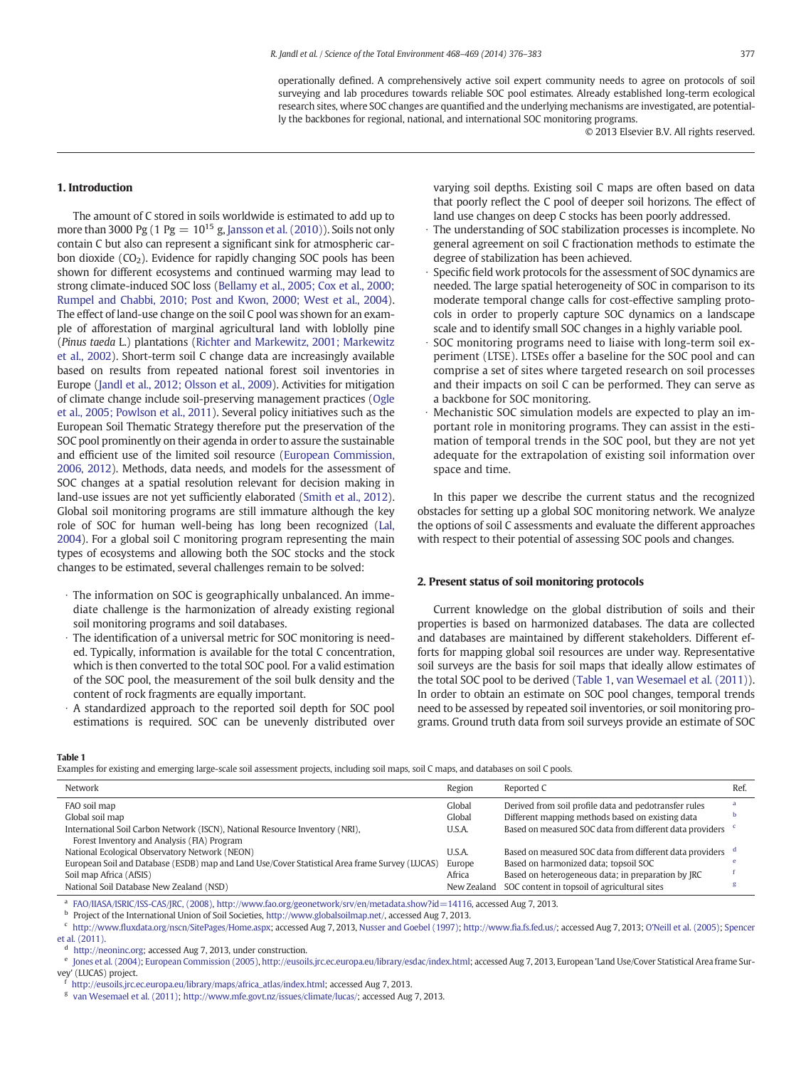operationally defined. A comprehensively active soil expert community needs to agree on protocols of soil surveying and lab procedures towards reliable SOC pool estimates. Already established long-term ecological research sites, where SOC changes are quantified and the underlying mechanisms are investigated, are potentially the backbones for regional, national, and international SOC monitoring programs.

© 2013 Elsevier B.V. All rights reserved.

#### <span id="page-1-0"></span>1. Introduction

The amount of C stored in soils worldwide is estimated to add up to more than 3000 Pg (1 Pg  $= 10^{15}$  g, [Jansson et al. \(2010\)](#page-7-0)). Soils not only contain C but also can represent a significant sink for atmospheric carbon dioxide  $(CO<sub>2</sub>)$ . Evidence for rapidly changing SOC pools has been shown for different ecosystems and continued warming may lead to strong climate-induced SOC loss ([Bellamy et al., 2005; Cox et al., 2000;](#page-6-0) [Rumpel and Chabbi, 2010; Post and Kwon, 2000; West et al., 2004](#page-6-0)). The effect of land-use change on the soil C pool was shown for an example of afforestation of marginal agricultural land with loblolly pine (Pinus taeda L.) plantations ([Richter and Markewitz, 2001; Markewitz](#page-7-0) [et al., 2002\)](#page-7-0). Short-term soil C change data are increasingly available based on results from repeated national forest soil inventories in Europe [\(Jandl et al., 2012; Olsson et al., 2009](#page-7-0)). Activities for mitigation of climate change include soil-preserving management practices [\(Ogle](#page-7-0) [et al., 2005; Powlson et al., 2011\)](#page-7-0). Several policy initiatives such as the European Soil Thematic Strategy therefore put the preservation of the SOC pool prominently on their agenda in order to assure the sustainable and efficient use of the limited soil resource [\(European Commission,](#page-6-0) [2006, 2012\)](#page-6-0). Methods, data needs, and models for the assessment of SOC changes at a spatial resolution relevant for decision making in land-use issues are not yet sufficiently elaborated ([Smith et al., 2012](#page-7-0)). Global soil monitoring programs are still immature although the key role of SOC for human well-being has long been recognized ([Lal,](#page-7-0) [2004](#page-7-0)). For a global soil C monitoring program representing the main types of ecosystems and allowing both the SOC stocks and the stock changes to be estimated, several challenges remain to be solved:

- ∙ The information on SOC is geographically unbalanced. An immediate challenge is the harmonization of already existing regional soil monitoring programs and soil databases.
- ∙ The identification of a universal metric for SOC monitoring is needed. Typically, information is available for the total C concentration, which is then converted to the total SOC pool. For a valid estimation of the SOC pool, the measurement of the soil bulk density and the content of rock fragments are equally important.
- ∙ A standardized approach to the reported soil depth for SOC pool estimations is required. SOC can be unevenly distributed over

varying soil depths. Existing soil C maps are often based on data that poorly reflect the C pool of deeper soil horizons. The effect of land use changes on deep C stocks has been poorly addressed.

- ∙ The understanding of SOC stabilization processes is incomplete. No general agreement on soil C fractionation methods to estimate the degree of stabilization has been achieved.
- ∙ Specific field work protocols for the assessment of SOC dynamics are needed. The large spatial heterogeneity of SOC in comparison to its moderate temporal change calls for cost-effective sampling protocols in order to properly capture SOC dynamics on a landscape scale and to identify small SOC changes in a highly variable pool.
- ∙ SOC monitoring programs need to liaise with long-term soil experiment (LTSE). LTSEs offer a baseline for the SOC pool and can comprise a set of sites where targeted research on soil processes and their impacts on soil C can be performed. They can serve as a backbone for SOC monitoring.
- ∙ Mechanistic SOC simulation models are expected to play an important role in monitoring programs. They can assist in the estimation of temporal trends in the SOC pool, but they are not yet adequate for the extrapolation of existing soil information over space and time.

In this paper we describe the current status and the recognized obstacles for setting up a global SOC monitoring network. We analyze the options of soil C assessments and evaluate the different approaches with respect to their potential of assessing SOC pools and changes.

#### 2. Present status of soil monitoring protocols

Current knowledge on the global distribution of soils and their properties is based on harmonized databases. The data are collected and databases are maintained by different stakeholders. Different efforts for mapping global soil resources are under way. Representative soil surveys are the basis for soil maps that ideally allow estimates of the total SOC pool to be derived (Table 1, [van Wesemael et al. \(2011\)](#page-7-0)). In order to obtain an estimate on SOC pool changes, temporal trends need to be assessed by repeated soil inventories, or soil monitoring programs. Ground truth data from soil surveys provide an estimate of SOC

#### Table 1

Examples for existing and emerging large-scale soil assessment projects, including soil maps, soil C maps, and databases on soil C pools.

| Network                                                                                        | Region      | Reported C                                                            | Ref. |
|------------------------------------------------------------------------------------------------|-------------|-----------------------------------------------------------------------|------|
| FAO soil map                                                                                   | Global      | Derived from soil profile data and pedotransfer rules                 |      |
| Global soil map                                                                                | Global      | Different mapping methods based on existing data                      |      |
| International Soil Carbon Network (ISCN), National Resource Inventory (NRI),                   | U.S.A.      | Based on measured SOC data from different data providers <sup>c</sup> |      |
| Forest Inventory and Analysis (FIA) Program                                                    |             |                                                                       |      |
| National Ecological Observatory Network (NEON)                                                 | U.S.A.      | Based on measured SOC data from different data providers <sup>d</sup> |      |
| European Soil and Database (ESDB) map and Land Use/Cover Statistical Area frame Survey (LUCAS) | Europe      | Based on harmonized data; topsoil SOC                                 |      |
| Soil map Africa (AfSIS)                                                                        | Africa      | Based on heterogeneous data; in preparation by JRC                    |      |
| National Soil Database New Zealand (NSD)                                                       | New Zealand | SOC content in topsoil of agricultural sites                          |      |
|                                                                                                |             |                                                                       |      |

<sup>a</sup> [FAO/IIASA/ISRIC/ISS-CAS/JRC, \(2008\)](#page-6-0), [http://www.fao.org/geonetwork/srv/en/metadata.show?id=14116,](http://www.mfe.govt.nz/issues/climate/lucas/) accessed Aug 7, 2013.<br><sup>b</sup> Project of the International Union of Soil Societies, http://www.globalsoilman.pot/. accessed

<sup>b</sup> Project of the International Union of Soil Societies, [http://www.globalsoilmap.net/,](http://www.mfe.govt.nz/issues/climate/lucas/) accessed Aug 7, 2013.

<sup>c</sup> http://www.fl[uxdata.org/nscn/SitePages/Home.aspx](http://www.mfe.govt.nz/issues/climate/lucas/); accessed Aug 7, 2013, [Nusser and Goebel \(1997\)](#page-7-0); [http://www.](http://www.mfe.govt.nz/issues/climate/lucas/)fia.fs.fed.us/; accessed Aug 7, 2013; [O'Neill et al. \(2005\)](#page-7-0); [Spencer](#page-7-0) [et al. \(2011\)](#page-7-0).

<sup>d</sup> [http://neoninc.org](http://www.mfe.govt.nz/issues/climate/lucas/); accessed Aug 7, 2013, under construction.

[Jones et al. \(2004\);](#page-7-0) [European Commission \(2005\)](#page-6-0), [http://eusoils.jrc.ec.europa.eu/library/esdac/index.html;](http://www.mfe.govt.nz/issues/climate/lucas/) accessed Aug 7, 2013, European 'Land Use/Cover Statistical Area frame Survey' (LUCAS) project.

<sup>f</sup> [http://eusoils.jrc.ec.europa.eu/library/maps/africa\\_atlas/index.html](http://www.mfe.govt.nz/issues/climate/lucas/); accessed Aug 7, 2013.

<sup>g</sup> [van Wesemael et al. \(2011\)](#page-7-0); [http://www.mfe.govt.nz/issues/climate/lucas/;](http://www.mfe.govt.nz/issues/climate/lucas/) accessed Aug 7, 2013.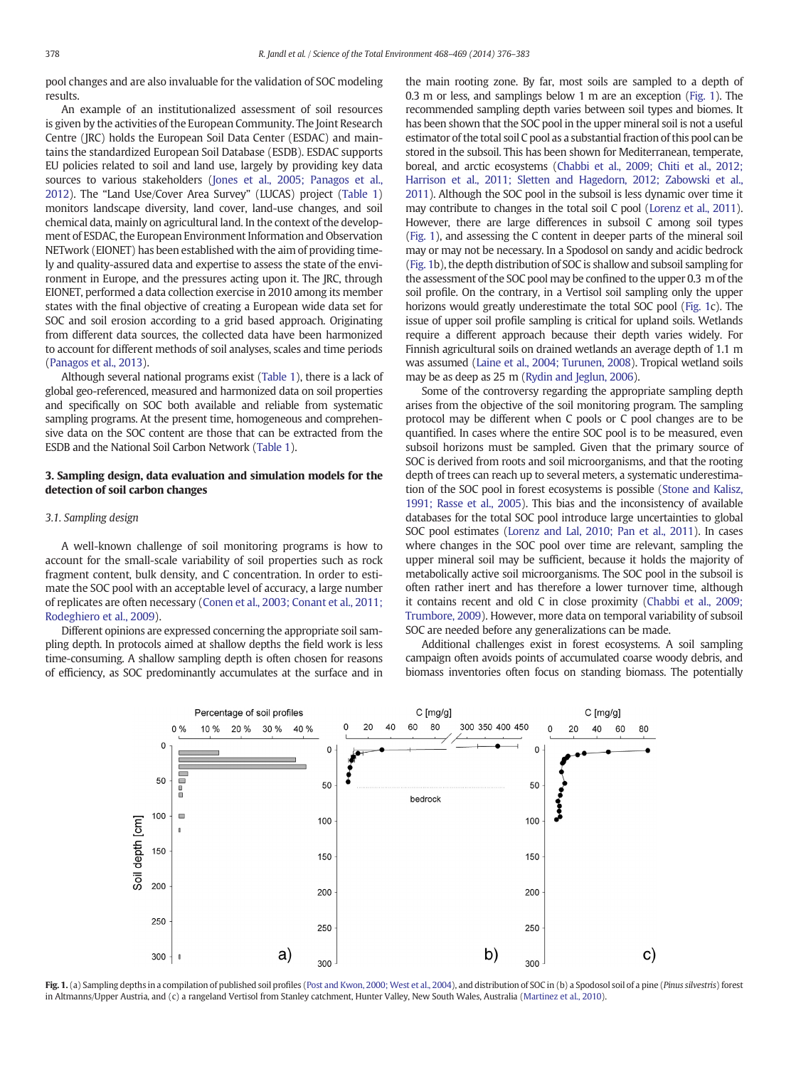pool changes and are also invaluable for the validation of SOC modeling results.

An example of an institutionalized assessment of soil resources is given by the activities of the European Community. The Joint Research Centre (JRC) holds the European Soil Data Center (ESDAC) and maintains the standardized European Soil Database (ESDB). ESDAC supports EU policies related to soil and land use, largely by providing key data sources to various stakeholders [\(Jones et al., 2005; Panagos et al.,](#page-7-0) [2012](#page-7-0)). The "Land Use/Cover Area Survey" (LUCAS) project ([Table 1](#page-1-0)) monitors landscape diversity, land cover, land-use changes, and soil chemical data, mainly on agricultural land. In the context of the development of ESDAC, the European Environment Information and Observation NETwork (EIONET) has been established with the aim of providing timely and quality-assured data and expertise to assess the state of the environment in Europe, and the pressures acting upon it. The JRC, through EIONET, performed a data collection exercise in 2010 among its member states with the final objective of creating a European wide data set for SOC and soil erosion according to a grid based approach. Originating from different data sources, the collected data have been harmonized to account for different methods of soil analyses, scales and time periods [\(Panagos et al., 2013\)](#page-7-0).

Although several national programs exist ([Table 1\)](#page-1-0), there is a lack of global geo-referenced, measured and harmonized data on soil properties and specifically on SOC both available and reliable from systematic sampling programs. At the present time, homogeneous and comprehensive data on the SOC content are those that can be extracted from the ESDB and the National Soil Carbon Network [\(Table 1\)](#page-1-0).

#### 3. Sampling design, data evaluation and simulation models for the detection of soil carbon changes

#### 3.1. Sampling design

A well-known challenge of soil monitoring programs is how to account for the small-scale variability of soil properties such as rock fragment content, bulk density, and C concentration. In order to estimate the SOC pool with an acceptable level of accuracy, a large number of replicates are often necessary ([Conen et al., 2003; Conant et al., 2011;](#page-6-0) [Rodeghiero et al., 2009\)](#page-6-0).

Different opinions are expressed concerning the appropriate soil sampling depth. In protocols aimed at shallow depths the field work is less time-consuming. A shallow sampling depth is often chosen for reasons of efficiency, as SOC predominantly accumulates at the surface and in the main rooting zone. By far, most soils are sampled to a depth of 0.3 m or less, and samplings below 1 m are an exception (Fig. 1). The recommended sampling depth varies between soil types and biomes. It has been shown that the SOC pool in the upper mineral soil is not a useful estimator of the total soil C pool as a substantial fraction of this pool can be stored in the subsoil. This has been shown for Mediterranean, temperate, boreal, and arctic ecosystems ([Chabbi et al., 2009; Chiti et al., 2012;](#page-6-0) [Harrison et al., 2011; Sletten and Hagedorn, 2012; Zabowski et al.,](#page-6-0) [2011](#page-6-0)). Although the SOC pool in the subsoil is less dynamic over time it may contribute to changes in the total soil C pool [\(Lorenz et al., 2011\)](#page-7-0). However, there are large differences in subsoil C among soil types (Fig. 1), and assessing the C content in deeper parts of the mineral soil may or may not be necessary. In a Spodosol on sandy and acidic bedrock (Fig. 1b), the depth distribution of SOC is shallow and subsoil sampling for the assessment of the SOC pool may be confined to the upper 0.3 m of the soil profile. On the contrary, in a Vertisol soil sampling only the upper horizons would greatly underestimate the total SOC pool (Fig. 1c). The issue of upper soil profile sampling is critical for upland soils. Wetlands require a different approach because their depth varies widely. For Finnish agricultural soils on drained wetlands an average depth of 1.1 m was assumed [\(Laine et al., 2004; Turunen, 2008](#page-7-0)). Tropical wetland soils may be as deep as 25 m [\(Rydin and Jeglun, 2006\)](#page-7-0).

Some of the controversy regarding the appropriate sampling depth arises from the objective of the soil monitoring program. The sampling protocol may be different when C pools or C pool changes are to be quantified. In cases where the entire SOC pool is to be measured, even subsoil horizons must be sampled. Given that the primary source of SOC is derived from roots and soil microorganisms, and that the rooting depth of trees can reach up to several meters, a systematic underestimation of the SOC pool in forest ecosystems is possible ([Stone and Kalisz,](#page-7-0) [1991; Rasse et al., 2005\)](#page-7-0). This bias and the inconsistency of available databases for the total SOC pool introduce large uncertainties to global SOC pool estimates ([Lorenz and Lal, 2010; Pan et al., 2011\)](#page-7-0). In cases where changes in the SOC pool over time are relevant, sampling the upper mineral soil may be sufficient, because it holds the majority of metabolically active soil microorganisms. The SOC pool in the subsoil is often rather inert and has therefore a lower turnover time, although it contains recent and old C in close proximity [\(Chabbi et al., 2009;](#page-6-0) [Trumbore, 2009\)](#page-6-0). However, more data on temporal variability of subsoil SOC are needed before any generalizations can be made.

Additional challenges exist in forest ecosystems. A soil sampling campaign often avoids points of accumulated coarse woody debris, and biomass inventories often focus on standing biomass. The potentially



Fig. 1. (a) Sampling depths in a compilation of published soil profiles [\(Post and Kwon, 2000; West et al., 2004\)](#page-7-0), and distribution of SOC in (b) a Spodosol soil of a pine (Pinus silvestris) forest in Altmanns/Upper Austria, and (c) a rangeland Vertisol from Stanley catchment, Hunter Valley, New South Wales, Australia [\(Martinez et al., 2010](#page-7-0)).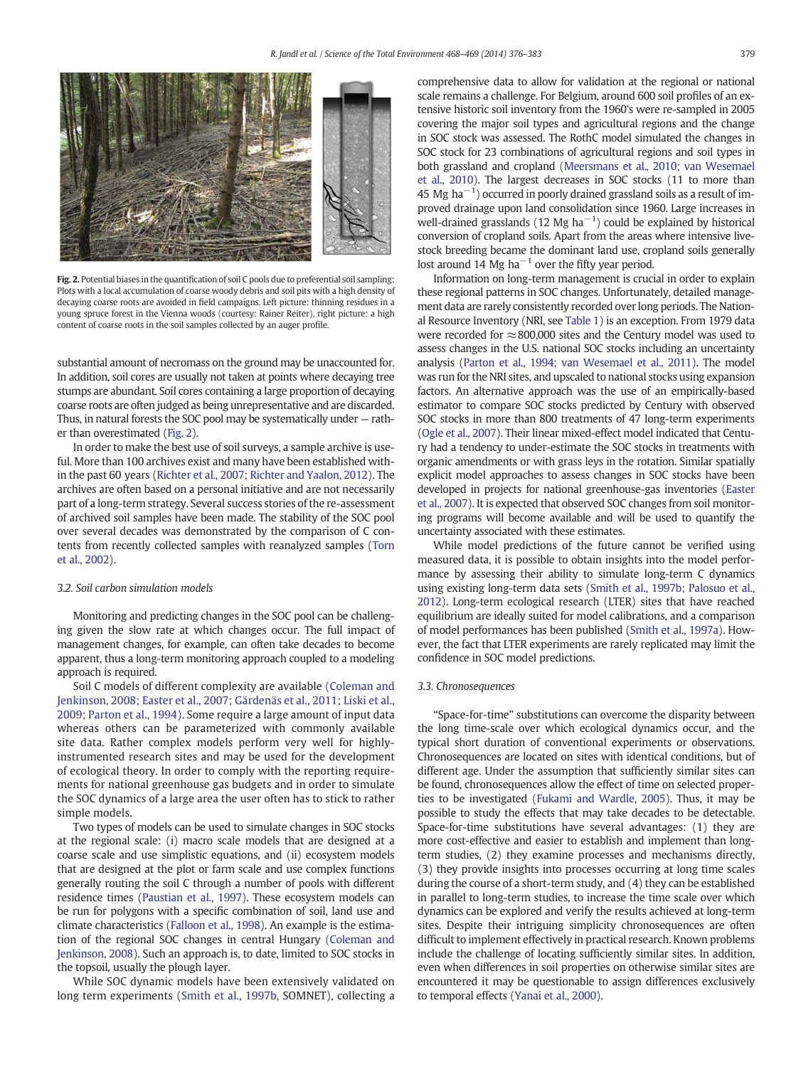

Fig. 2. Potential biases in the quantification of soil C pools due to preferential soil sampling: Plots with a local accumulation of coarse woody debris and soil pits with a high density of decaying coarse roots are avoided in field campaigns. Left picture: thinning residues in a young spruce forest in the Vienna woods (courtesy: Rainer Reiter), right picture: a high content of coarse roots in the soil samples collected by an auger profile.

substantial amount of necromass on the ground may be unaccounted for. In addition, soil cores are usually not taken at points where decaying tree stumps are abundant. Soil cores containing a large proportion of decaying coarse roots are often judged as being unrepresentative and are discarded. Thus, in natural forests the SOC pool may be systematically under — rather than overestimated (Fig. 2).

In order to make the best use of soil surveys, a sample archive is useful. More than 100 archives exist and many have been established within the past 60 years ([Richter et al., 2007; Richter and Yaalon, 2012\)](#page-7-0). The archives are often based on a personal initiative and are not necessarily part of a long-term strategy. Several success stories of the re-assessment of archived soil samples have been made. The stability of the SOC pool over several decades was demonstrated by the comparison of C contents from recently collected samples with reanalyzed samples [\(Torn](#page-7-0) [et al., 2002](#page-7-0)).

#### 3.2. Soil carbon simulation models

Monitoring and predicting changes in the SOC pool can be challenging given the slow rate at which changes occur. The full impact of management changes, for example, can often take decades to become apparent, thus a long-term monitoring approach coupled to a modeling approach is required.

Soil C models of different complexity are available [\(Coleman and](#page-6-0) [Jenkinson, 2008; Easter et al., 2007; Gärdenäs et al., 2011; Liski et al.,](#page-6-0) [2009; Parton et al., 1994\)](#page-6-0). Some require a large amount of input data whereas others can be parameterized with commonly available site data. Rather complex models perform very well for highlyinstrumented research sites and may be used for the development of ecological theory. In order to comply with the reporting requirements for national greenhouse gas budgets and in order to simulate the SOC dynamics of a large area the user often has to stick to rather simple models.

Two types of models can be used to simulate changes in SOC stocks at the regional scale: (i) macro scale models that are designed at a coarse scale and use simplistic equations, and (ii) ecosystem models that are designed at the plot or farm scale and use complex functions generally routing the soil C through a number of pools with different residence times ([Paustian et al., 1997\)](#page-7-0). These ecosystem models can be run for polygons with a specific combination of soil, land use and climate characteristics [\(Falloon et al., 1998](#page-6-0)). An example is the estimation of the regional SOC changes in central Hungary [\(Coleman and](#page-6-0) [Jenkinson, 2008\)](#page-6-0). Such an approach is, to date, limited to SOC stocks in the topsoil, usually the plough layer.

While SOC dynamic models have been extensively validated on long term experiments ([Smith et al., 1997b,](#page-7-0) SOMNET), collecting a comprehensive data to allow for validation at the regional or national scale remains a challenge. For Belgium, around 600 soil profiles of an extensive historic soil inventory from the 1960's were re-sampled in 2005 covering the major soil types and agricultural regions and the change in SOC stock was assessed. The RothC model simulated the changes in SOC stock for 23 combinations of agricultural regions and soil types in both grassland and cropland ([Meersmans et al., 2010; van Wesemael](#page-7-0) [et al., 2010\)](#page-7-0). The largest decreases in SOC stocks (11 to more than 45 Mg ha<sup>-1</sup>) occurred in poorly drained grassland soils as a result of improved drainage upon land consolidation since 1960. Large increases in well-drained grasslands (12 Mg ha<sup>-1</sup>) could be explained by historical conversion of cropland soils. Apart from the areas where intensive livestock breeding became the dominant land use, cropland soils generally lost around 14 Mg ha<sup> $-1$ </sup> over the fifty year period.

Information on long-term management is crucial in order to explain these regional patterns in SOC changes. Unfortunately, detailed management data are rarely consistently recorded over long periods. The National Resource Inventory (NRI, see [Table 1\)](#page-1-0) is an exception. From 1979 data were recorded for  $\approx$  800,000 sites and the Century model was used to assess changes in the U.S. national SOC stocks including an uncertainty analysis [\(Parton et al., 1994; van Wesemael et al., 2011\)](#page-7-0). The model was run for the NRI sites, and upscaled to national stocks using expansion factors. An alternative approach was the use of an empirically-based estimator to compare SOC stocks predicted by Century with observed SOC stocks in more than 800 treatments of 47 long-term experiments [\(Ogle et al., 2007](#page-7-0)). Their linear mixed-effect model indicated that Century had a tendency to under-estimate the SOC stocks in treatments with organic amendments or with grass leys in the rotation. Similar spatially explicit model approaches to assess changes in SOC stocks have been developed in projects for national greenhouse-gas inventories [\(Easter](#page-6-0) [et al., 2007\)](#page-6-0). It is expected that observed SOC changes from soil monitoring programs will become available and will be used to quantify the uncertainty associated with these estimates.

While model predictions of the future cannot be verified using measured data, it is possible to obtain insights into the model performance by assessing their ability to simulate long-term C dynamics using existing long-term data sets [\(Smith et al., 1997b; Palosuo et al.,](#page-7-0) [2012](#page-7-0)). Long-term ecological research (LTER) sites that have reached equilibrium are ideally suited for model calibrations, and a comparison of model performances has been published ([Smith et al., 1997a](#page-7-0)). However, the fact that LTER experiments are rarely replicated may limit the confidence in SOC model predictions.

#### 3.3. Chronosequences

"Space-for-time" substitutions can overcome the disparity between the long time-scale over which ecological dynamics occur, and the typical short duration of conventional experiments or observations. Chronosequences are located on sites with identical conditions, but of different age. Under the assumption that sufficiently similar sites can be found, chronosequences allow the effect of time on selected properties to be investigated [\(Fukami and Wardle, 2005\)](#page-6-0). Thus, it may be possible to study the effects that may take decades to be detectable. Space-for-time substitutions have several advantages: (1) they are more cost-effective and easier to establish and implement than longterm studies, (2) they examine processes and mechanisms directly, (3) they provide insights into processes occurring at long time scales during the course of a short-term study, and (4) they can be established in parallel to long-term studies, to increase the time scale over which dynamics can be explored and verify the results achieved at long-term sites. Despite their intriguing simplicity chronosequences are often difficult to implement effectively in practical research. Known problems include the challenge of locating sufficiently similar sites. In addition, even when differences in soil properties on otherwise similar sites are encountered it may be questionable to assign differences exclusively to temporal effects ([Yanai et al., 2000](#page-7-0)).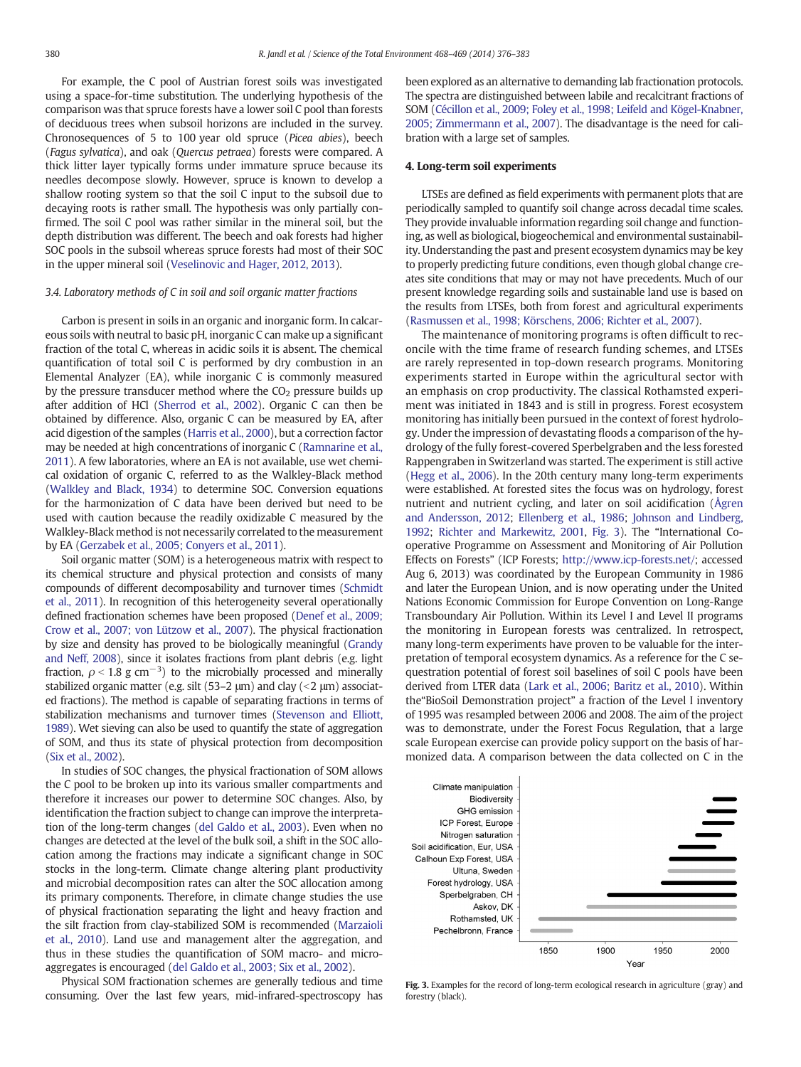For example, the C pool of Austrian forest soils was investigated using a space-for-time substitution. The underlying hypothesis of the comparison was that spruce forests have a lower soil C pool than forests of deciduous trees when subsoil horizons are included in the survey. Chronosequences of 5 to 100 year old spruce (Picea abies), beech (Fagus sylvatica), and oak (Quercus petraea) forests were compared. A thick litter layer typically forms under immature spruce because its needles decompose slowly. However, spruce is known to develop a shallow rooting system so that the soil C input to the subsoil due to decaying roots is rather small. The hypothesis was only partially confirmed. The soil C pool was rather similar in the mineral soil, but the depth distribution was different. The beech and oak forests had higher SOC pools in the subsoil whereas spruce forests had most of their SOC in the upper mineral soil [\(Veselinovic and Hager, 2012, 2013](#page-7-0)).

#### 3.4. Laboratory methods of C in soil and soil organic matter fractions

Carbon is present in soils in an organic and inorganic form. In calcareous soils with neutral to basic pH, inorganic C can make up a significant fraction of the total C, whereas in acidic soils it is absent. The chemical quantification of total soil C is performed by dry combustion in an Elemental Analyzer (EA), while inorganic C is commonly measured by the pressure transducer method where the  $CO<sub>2</sub>$  pressure builds up after addition of HCl ([Sherrod et al., 2002\)](#page-7-0). Organic C can then be obtained by difference. Also, organic C can be measured by EA, after acid digestion of the samples ([Harris et al., 2000\)](#page-6-0), but a correction factor may be needed at high concentrations of inorganic C [\(Ramnarine et al.,](#page-7-0) [2011\)](#page-7-0). A few laboratories, where an EA is not available, use wet chemical oxidation of organic C, referred to as the Walkley-Black method [\(Walkley and Black, 1934\)](#page-7-0) to determine SOC. Conversion equations for the harmonization of C data have been derived but need to be used with caution because the readily oxidizable C measured by the Walkley-Black method is not necessarily correlated to the measurement by EA ([Gerzabek et al., 2005; Conyers et al., 2011](#page-6-0)).

Soil organic matter (SOM) is a heterogeneous matrix with respect to its chemical structure and physical protection and consists of many compounds of different decomposability and turnover times [\(Schmidt](#page-7-0) [et al., 2011](#page-7-0)). In recognition of this heterogeneity several operationally defined fractionation schemes have been proposed [\(Denef et al., 2009;](#page-6-0) [Crow et al., 2007; von Lützow et al., 2007\)](#page-6-0). The physical fractionation by size and density has proved to be biologically meaningful [\(Grandy](#page-6-0) [and Neff, 2008\)](#page-6-0), since it isolates fractions from plant debris (e.g. light fraction,  $\rho$  < 1.8 g cm<sup>−3</sup>) to the microbially processed and minerally stabilized organic matter (e.g. silt (53–2  $\mu$ m) and clay (<2  $\mu$ m) associated fractions). The method is capable of separating fractions in terms of stabilization mechanisms and turnover times ([Stevenson and Elliott,](#page-7-0) [1989](#page-7-0)). Wet sieving can also be used to quantify the state of aggregation of SOM, and thus its state of physical protection from decomposition [\(Six et al., 2002\)](#page-7-0).

In studies of SOC changes, the physical fractionation of SOM allows the C pool to be broken up into its various smaller compartments and therefore it increases our power to determine SOC changes. Also, by identification the fraction subject to change can improve the interpretation of the long-term changes [\(del Galdo et al., 2003\)](#page-6-0). Even when no changes are detected at the level of the bulk soil, a shift in the SOC allocation among the fractions may indicate a significant change in SOC stocks in the long-term. Climate change altering plant productivity and microbial decomposition rates can alter the SOC allocation among its primary components. Therefore, in climate change studies the use of physical fractionation separating the light and heavy fraction and the silt fraction from clay-stabilized SOM is recommended ([Marzaioli](#page-7-0) [et al., 2010\)](#page-7-0). Land use and management alter the aggregation, and thus in these studies the quantification of SOM macro- and microaggregates is encouraged [\(del Galdo et al., 2003; Six et al., 2002\)](#page-6-0).

Physical SOM fractionation schemes are generally tedious and time consuming. Over the last few years, mid-infrared-spectroscopy has been explored as an alternative to demanding lab fractionation protocols. The spectra are distinguished between labile and recalcitrant fractions of SOM [\(Cécillon et al., 2009; Foley et al., 1998; Leifeld and Kögel-Knabner,](#page-6-0) [2005; Zimmermann et al., 2007](#page-6-0)). The disadvantage is the need for calibration with a large set of samples.

#### 4. Long-term soil experiments

LTSEs are defined as field experiments with permanent plots that are periodically sampled to quantify soil change across decadal time scales. They provide invaluable information regarding soil change and functioning, as well as biological, biogeochemical and environmental sustainability. Understanding the past and present ecosystem dynamics may be key to properly predicting future conditions, even though global change creates site conditions that may or may not have precedents. Much of our present knowledge regarding soils and sustainable land use is based on the results from LTSEs, both from forest and agricultural experiments [\(Rasmussen et al., 1998; Körschens, 2006; Richter et al., 2007\)](#page-7-0).

The maintenance of monitoring programs is often difficult to reconcile with the time frame of research funding schemes, and LTSEs are rarely represented in top-down research programs. Monitoring experiments started in Europe within the agricultural sector with an emphasis on crop productivity. The classical Rothamsted experiment was initiated in 1843 and is still in progress. Forest ecosystem monitoring has initially been pursued in the context of forest hydrology. Under the impression of devastating floods a comparison of the hydrology of the fully forest-covered Sperbelgraben and the less forested Rappengraben in Switzerland was started. The experiment is still active [\(Hegg et al., 2006\)](#page-6-0). In the 20th century many long-term experiments were established. At forested sites the focus was on hydrology, forest nutrient and nutrient cycling, and later on soil acidification [\(Ågren](#page-6-0) [and Andersson, 2012](#page-6-0); [Ellenberg et al., 1986](#page-6-0); [Johnson and Lindberg,](#page-7-0) [1992;](#page-7-0) [Richter and Markewitz, 2001,](#page-7-0) Fig. 3). The "International Cooperative Programme on Assessment and Monitoring of Air Pollution Effects on Forests" (ICP Forests; [http://www.icp-forests.net/;](http://www.icp-forests.net/) accessed Aug 6, 2013) was coordinated by the European Community in 1986 and later the European Union, and is now operating under the United Nations Economic Commission for Europe Convention on Long-Range Transboundary Air Pollution. Within its Level I and Level II programs the monitoring in European forests was centralized. In retrospect, many long-term experiments have proven to be valuable for the interpretation of temporal ecosystem dynamics. As a reference for the C sequestration potential of forest soil baselines of soil C pools have been derived from LTER data [\(Lark et al., 2006; Baritz et al., 2010\)](#page-7-0). Within the"BioSoil Demonstration project" a fraction of the Level I inventory of 1995 was resampled between 2006 and 2008. The aim of the project was to demonstrate, under the Forest Focus Regulation, that a large scale European exercise can provide policy support on the basis of harmonized data. A comparison between the data collected on C in the



Fig. 3. Examples for the record of long-term ecological research in agriculture (gray) and forestry (black).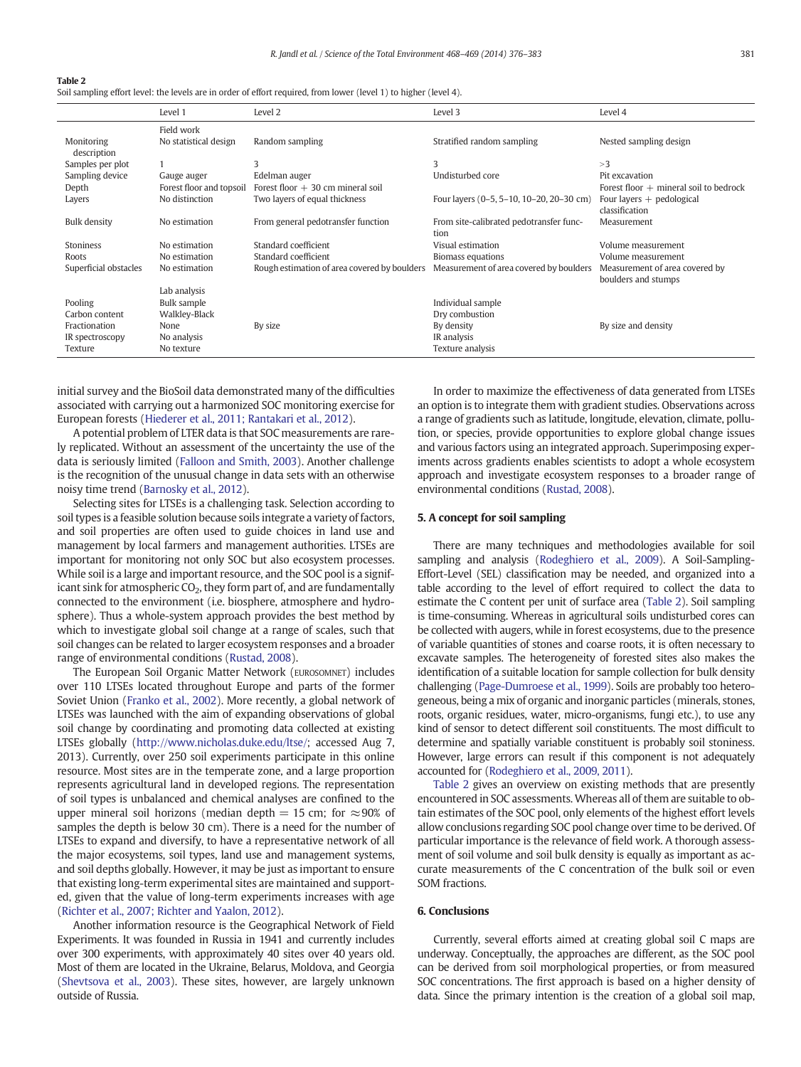#### Table 2

Soil sampling effort level: the levels are in order of effort required, from lower (level 1) to higher (level 4).

|                           | Level 1                  | Level 2                                      | Level 3                                         | Level 4                                               |
|---------------------------|--------------------------|----------------------------------------------|-------------------------------------------------|-------------------------------------------------------|
|                           | Field work               |                                              |                                                 |                                                       |
| Monitoring<br>description | No statistical design    | Random sampling                              | Stratified random sampling                      | Nested sampling design                                |
| Samples per plot          |                          | 3                                            | 3                                               | >3                                                    |
| Sampling device           | Gauge auger              | Edelman auger                                | Undisturbed core                                | Pit excavation                                        |
| Depth                     | Forest floor and topsoil | Forest floor $+30$ cm mineral soil           |                                                 | Forest floor $+$ mineral soil to bedrock              |
| Layers                    | No distinction           | Two layers of equal thickness                | Four layers (0-5, 5-10, 10-20, 20-30 cm)        | Four layers $+$ pedological<br>classification         |
| <b>Bulk density</b>       | No estimation            | From general pedotransfer function           | From site-calibrated pedotransfer func-<br>tion | Measurement                                           |
| Stoniness                 | No estimation            | Standard coefficient                         | Visual estimation                               | Volume measurement                                    |
| Roots                     | No estimation            | Standard coefficient                         | <b>Biomass equations</b>                        | Volume measurement                                    |
| Superficial obstacles     | No estimation            | Rough estimation of area covered by boulders | Measurement of area covered by boulders         | Measurement of area covered by<br>boulders and stumps |
|                           | Lab analysis             |                                              |                                                 |                                                       |
| Pooling                   | Bulk sample              |                                              | Individual sample                               |                                                       |
| Carbon content            | Walkley-Black            |                                              | Dry combustion                                  |                                                       |
| Fractionation             | None                     | By size                                      | By density                                      | By size and density                                   |
| IR spectroscopy           | No analysis              |                                              | IR analysis                                     |                                                       |
| Texture                   | No texture               |                                              | Texture analysis                                |                                                       |

initial survey and the BioSoil data demonstrated many of the difficulties associated with carrying out a harmonized SOC monitoring exercise for European forests ([Hiederer et al., 2011; Rantakari et al., 2012](#page-6-0)).

A potential problem of LTER data is that SOC measurements are rarely replicated. Without an assessment of the uncertainty the use of the data is seriously limited ([Falloon and Smith, 2003\)](#page-6-0). Another challenge is the recognition of the unusual change in data sets with an otherwise noisy time trend ([Barnosky et al., 2012](#page-6-0)).

Selecting sites for LTSEs is a challenging task. Selection according to soil types is a feasible solution because soils integrate a variety of factors, and soil properties are often used to guide choices in land use and management by local farmers and management authorities. LTSEs are important for monitoring not only SOC but also ecosystem processes. While soil is a large and important resource, and the SOC pool is a significant sink for atmospheric  $CO<sub>2</sub>$ , they form part of, and are fundamentally connected to the environment (i.e. biosphere, atmosphere and hydrosphere). Thus a whole-system approach provides the best method by which to investigate global soil change at a range of scales, such that soil changes can be related to larger ecosystem responses and a broader range of environmental conditions ([Rustad, 2008\)](#page-7-0).

The European Soil Organic Matter Network (EUROSOMNET) includes over 110 LTSEs located throughout Europe and parts of the former Soviet Union [\(Franko et al., 2002](#page-6-0)). More recently, a global network of LTSEs was launched with the aim of expanding observations of global soil change by coordinating and promoting data collected at existing LTSEs globally (<http://www.nicholas.duke.edu/ltse/>; accessed Aug 7, 2013). Currently, over 250 soil experiments participate in this online resource. Most sites are in the temperate zone, and a large proportion represents agricultural land in developed regions. The representation of soil types is unbalanced and chemical analyses are confined to the upper mineral soil horizons (median depth = 15 cm; for  $\approx$ 90% of samples the depth is below 30 cm). There is a need for the number of LTSEs to expand and diversify, to have a representative network of all the major ecosystems, soil types, land use and management systems, and soil depths globally. However, it may be just as important to ensure that existing long-term experimental sites are maintained and supported, given that the value of long-term experiments increases with age [\(Richter et al., 2007; Richter and Yaalon, 2012\)](#page-7-0).

Another information resource is the Geographical Network of Field Experiments. It was founded in Russia in 1941 and currently includes over 300 experiments, with approximately 40 sites over 40 years old. Most of them are located in the Ukraine, Belarus, Moldova, and Georgia [\(Shevtsova et al., 2003\)](#page-7-0). These sites, however, are largely unknown outside of Russia.

In order to maximize the effectiveness of data generated from LTSEs an option is to integrate them with gradient studies. Observations across a range of gradients such as latitude, longitude, elevation, climate, pollution, or species, provide opportunities to explore global change issues and various factors using an integrated approach. Superimposing experiments across gradients enables scientists to adopt a whole ecosystem approach and investigate ecosystem responses to a broader range of environmental conditions ([Rustad, 2008\)](#page-7-0).

#### 5. A concept for soil sampling

There are many techniques and methodologies available for soil sampling and analysis [\(Rodeghiero et al., 2009\)](#page-7-0). A Soil-Sampling-Effort-Level (SEL) classification may be needed, and organized into a table according to the level of effort required to collect the data to estimate the C content per unit of surface area (Table 2). Soil sampling is time-consuming. Whereas in agricultural soils undisturbed cores can be collected with augers, while in forest ecosystems, due to the presence of variable quantities of stones and coarse roots, it is often necessary to excavate samples. The heterogeneity of forested sites also makes the identification of a suitable location for sample collection for bulk density challenging [\(Page-Dumroese et al., 1999](#page-7-0)). Soils are probably too heterogeneous, being a mix of organic and inorganic particles (minerals, stones, roots, organic residues, water, micro-organisms, fungi etc.), to use any kind of sensor to detect different soil constituents. The most difficult to determine and spatially variable constituent is probably soil stoniness. However, large errors can result if this component is not adequately accounted for [\(Rodeghiero et al., 2009, 2011\)](#page-7-0).

Table 2 gives an overview on existing methods that are presently encountered in SOC assessments. Whereas all of them are suitable to obtain estimates of the SOC pool, only elements of the highest effort levels allow conclusions regarding SOC pool change over time to be derived. Of particular importance is the relevance of field work. A thorough assessment of soil volume and soil bulk density is equally as important as accurate measurements of the C concentration of the bulk soil or even SOM fractions.

#### 6. Conclusions

Currently, several efforts aimed at creating global soil C maps are underway. Conceptually, the approaches are different, as the SOC pool can be derived from soil morphological properties, or from measured SOC concentrations. The first approach is based on a higher density of data. Since the primary intention is the creation of a global soil map,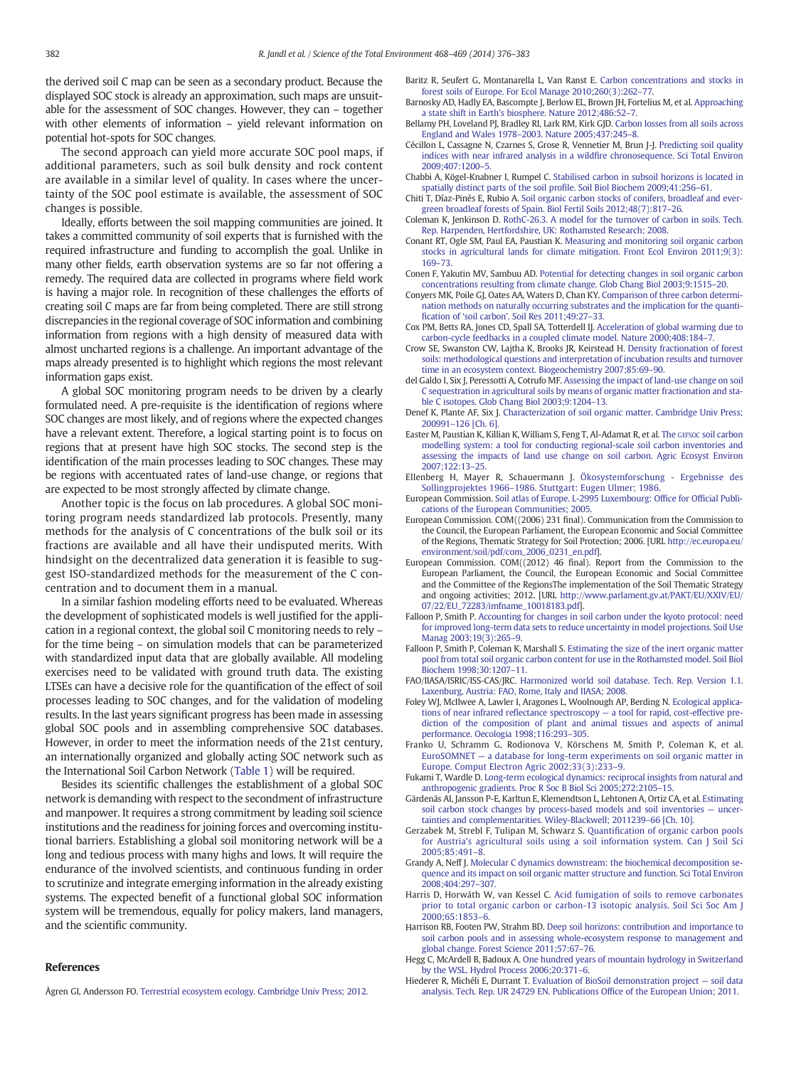<span id="page-6-0"></span>the derived soil C map can be seen as a secondary product. Because the displayed SOC stock is already an approximation, such maps are unsuitable for the assessment of SOC changes. However, they can – together with other elements of information – yield relevant information on potential hot-spots for SOC changes.

The second approach can yield more accurate SOC pool maps, if additional parameters, such as soil bulk density and rock content are available in a similar level of quality. In cases where the uncertainty of the SOC pool estimate is available, the assessment of SOC changes is possible.

Ideally, efforts between the soil mapping communities are joined. It takes a committed community of soil experts that is furnished with the required infrastructure and funding to accomplish the goal. Unlike in many other fields, earth observation systems are so far not offering a remedy. The required data are collected in programs where field work is having a major role. In recognition of these challenges the efforts of creating soil C maps are far from being completed. There are still strong discrepancies in the regional coverage of SOC information and combining information from regions with a high density of measured data with almost uncharted regions is a challenge. An important advantage of the maps already presented is to highlight which regions the most relevant information gaps exist.

A global SOC monitoring program needs to be driven by a clearly formulated need. A pre-requisite is the identification of regions where SOC changes are most likely, and of regions where the expected changes have a relevant extent. Therefore, a logical starting point is to focus on regions that at present have high SOC stocks. The second step is the identification of the main processes leading to SOC changes. These may be regions with accentuated rates of land-use change, or regions that are expected to be most strongly affected by climate change.

Another topic is the focus on lab procedures. A global SOC monitoring program needs standardized lab protocols. Presently, many methods for the analysis of C concentrations of the bulk soil or its fractions are available and all have their undisputed merits. With hindsight on the decentralized data generation it is feasible to suggest ISO-standardized methods for the measurement of the C concentration and to document them in a manual.

In a similar fashion modeling efforts need to be evaluated. Whereas the development of sophisticated models is well justified for the application in a regional context, the global soil C monitoring needs to rely – for the time being – on simulation models that can be parameterized with standardized input data that are globally available. All modeling exercises need to be validated with ground truth data. The existing LTSEs can have a decisive role for the quantification of the effect of soil processes leading to SOC changes, and for the validation of modeling results. In the last years significant progress has been made in assessing global SOC pools and in assembling comprehensive SOC databases. However, in order to meet the information needs of the 21st century, an internationally organized and globally acting SOC network such as the International Soil Carbon Network [\(Table 1\)](#page-1-0) will be required.

Besides its scientific challenges the establishment of a global SOC network is demanding with respect to the secondment of infrastructure and manpower. It requires a strong commitment by leading soil science institutions and the readiness for joining forces and overcoming institutional barriers. Establishing a global soil monitoring network will be a long and tedious process with many highs and lows. It will require the endurance of the involved scientists, and continuous funding in order to scrutinize and integrate emerging information in the already existing systems. The expected benefit of a functional global SOC information system will be tremendous, equally for policy makers, land managers, and the scientific community.

#### References

Ågren GI, Andersson FO. [Terrestrial ecosystem ecology. Cambridge Univ Press; 2012.](http://refhub.elsevier.com/S0048-9697(13)00940-6/rf0005)

Baritz R, Seufert G, Montanarella L, Van Ranst E. [Carbon concentrations and stocks in](http://refhub.elsevier.com/S0048-9697(13)00940-6/rf0010) [forest soils of Europe. For Ecol Manage 2010;260\(3\):262](http://refhub.elsevier.com/S0048-9697(13)00940-6/rf0010)–77.

Barnosky AD, Hadly EA, Bascompte J, Berlow EL, Brown JH, Fortelius M, et al. [Approaching](http://refhub.elsevier.com/S0048-9697(13)00940-6/rf0015) [a state shift in Earth's biosphere. Nature 2012;486:52](http://refhub.elsevier.com/S0048-9697(13)00940-6/rf0015)–7.

Bellamy PH, Loveland PJ, Bradley RI, Lark RM, Kirk GJD. [Carbon losses from all soils across](http://refhub.elsevier.com/S0048-9697(13)00940-6/rf0020) England and Wales 1978–[2003. Nature 2005;437:245](http://refhub.elsevier.com/S0048-9697(13)00940-6/rf0020)–8.

Cécillon L, Cassagne N, Czarnes S, Grose R, Vennetier M, Brun J-J. [Predicting soil quality](http://refhub.elsevier.com/S0048-9697(13)00940-6/rf0025) [indices with near infrared analysis in a wild](http://refhub.elsevier.com/S0048-9697(13)00940-6/rf0025)fire chronosequence. Sci Total Environ [2009;407:1200](http://refhub.elsevier.com/S0048-9697(13)00940-6/rf0025)–5.

Chabbi A, Kögel-Knabner I, Rumpel C. [Stabilised carbon in subsoil horizons is located in](http://refhub.elsevier.com/S0048-9697(13)00940-6/rf0030) [spatially distinct parts of the soil pro](http://refhub.elsevier.com/S0048-9697(13)00940-6/rf0030)file. Soil Biol Biochem 2009;41:256–61.

Chiti T, Díaz-Pinés E, Rubio A. [Soil organic carbon stocks of conifers, broadleaf and ever](http://refhub.elsevier.com/S0048-9697(13)00940-6/rf0035)[green broadleaf forests of Spain. Biol Fertil Soils 2012;48\(7\):817](http://refhub.elsevier.com/S0048-9697(13)00940-6/rf0035)–26.

Coleman K, Jenkinson D. [RothC-26.3. A model for the turnover of carbon in soils. Tech.](http://refhub.elsevier.com/S0048-9697(13)00940-6/rf0040) [Rep. Harpenden, Hertfordshire, UK: Rothamsted Research; 2008.](http://refhub.elsevier.com/S0048-9697(13)00940-6/rf0040)

Conant RT, Ogle SM, Paul EA, Paustian K. [Measuring and monitoring soil organic carbon](http://refhub.elsevier.com/S0048-9697(13)00940-6/rf0045) [stocks in agricultural lands for climate mitigation. Front Ecol Environ 2011;9\(3\):](http://refhub.elsevier.com/S0048-9697(13)00940-6/rf0045) [169](http://refhub.elsevier.com/S0048-9697(13)00940-6/rf0045)–73.

Conen F, Yakutin MV, Sambuu AD. [Potential for detecting changes in soil organic carbon](http://refhub.elsevier.com/S0048-9697(13)00940-6/rf0050) [concentrations resulting from climate change. Glob Chang Biol 2003;9:1515](http://refhub.elsevier.com/S0048-9697(13)00940-6/rf0050)–20.

Conyers MK, Poile GJ, Oates AA, Waters D, Chan KY. [Comparison of three carbon determi](http://refhub.elsevier.com/S0048-9697(13)00940-6/rf0055)[nation methods on naturally occurring substrates and the implication for the quanti](http://refhub.elsevier.com/S0048-9697(13)00940-6/rf0055)fication of 'soil carbon'[. Soil Res 2011;49:27](http://refhub.elsevier.com/S0048-9697(13)00940-6/rf0055)–33.

Cox PM, Betts RA, Jones CD, Spall SA, Totterdell IJ. [Acceleration of global warming due to](http://refhub.elsevier.com/S0048-9697(13)00940-6/rf0060) [carbon-cycle feedbacks in a coupled climate model. Nature 2000;408:184](http://refhub.elsevier.com/S0048-9697(13)00940-6/rf0060)–7.

- Crow SE, Swanston CW, Lajtha K, Brooks JR, Keirstead H. [Density fractionation of forest](http://refhub.elsevier.com/S0048-9697(13)00940-6/rf0065) [soils: methodological questions and interpretation of incubation results and turnover](http://refhub.elsevier.com/S0048-9697(13)00940-6/rf0065) [time in an ecosystem context. Biogeochemistry 2007;85:69](http://refhub.elsevier.com/S0048-9697(13)00940-6/rf0065)–90.
- del Galdo I, Six J, Peressotti A, Cotrufo MF. [Assessing the impact of land-use change on soil](http://refhub.elsevier.com/S0048-9697(13)00940-6/rf0070) [C sequestration in agricultural soils by means of organic matter fractionation and sta](http://refhub.elsevier.com/S0048-9697(13)00940-6/rf0070)[ble C isotopes. Glob Chang Biol 2003;9:1204](http://refhub.elsevier.com/S0048-9697(13)00940-6/rf0070)–13.
- Denef K, Plante AF, Six J. [Characterization of soil organic matter. Cambridge Univ Press;](http://refhub.elsevier.com/S0048-9697(13)00940-6/rf0075) 200991–[126 \[Ch. 6\].](http://refhub.elsevier.com/S0048-9697(13)00940-6/rf0075)
- Easter M, Paustian K, Killian K, William S, Feng T, Al-Adamat R, et al. [The](http://refhub.elsevier.com/S0048-9697(13)00940-6/rf0080) [GEFSOC](http://refhub.elsevier.com/S0048-9697(13)00940-6/rf0080) [soil carbon](http://refhub.elsevier.com/S0048-9697(13)00940-6/rf0080) [modelling system: a tool for conducting regional-scale soil carbon inventories and](http://refhub.elsevier.com/S0048-9697(13)00940-6/rf0080) [assessing the impacts of land use change on soil carbon. Agric Ecosyst Environ](http://refhub.elsevier.com/S0048-9697(13)00940-6/rf0080) [2007;122:13](http://refhub.elsevier.com/S0048-9697(13)00940-6/rf0080)–25.
- Ellenberg H, Mayer R, Schauermann J. [Ökosystemforschung Ergebnisse des](http://refhub.elsevier.com/S0048-9697(13)00940-6/rf0085) Sollingprojektes 1966–[1986. Stuttgart: Eugen Ulmer; 1986.](http://refhub.elsevier.com/S0048-9697(13)00940-6/rf0085)
- European Commission. [Soil atlas of Europe. L-2995 Luxembourg: Of](http://refhub.elsevier.com/S0048-9697(13)00940-6/rf0090)fice for Official Publi[cations of the European Communities; 2005.](http://refhub.elsevier.com/S0048-9697(13)00940-6/rf0090)
- European Commission. COM((2006) 231 final). Communication from the Commission to the Council, the European Parliament, the European Economic and Social Committee of the Regions, Thematic Strategy for Soil Protection; 2006. [URL [http://ec.europa.eu/](http://ec.europa.eu/environment/soil/pdf/com_2006_0231_en.pdf) [environment/soil/pdf/com\\_2006\\_0231\\_en.pdf\]](http://ec.europa.eu/environment/soil/pdf/com_2006_0231_en.pdf).
- European Commission. COM((2012) 46 final). Report from the Commission to the European Parliament, the Council, the European Economic and Social Committee and the Committee of the RegionsThe implementation of the Soil Thematic Strategy and ongoing activities; 2012. [URL [http://www.parlament.gv.at/PAKT/EU/XXIV/EU/](http://www.parlament.gv.at/PAKT/EU/XXIV/EU/07/22/EU_72283/imfname_10018183.pdf) [07/22/EU\\_72283/imfname\\_10018183.pdf\]](http://www.parlament.gv.at/PAKT/EU/XXIV/EU/07/22/EU_72283/imfname_10018183.pdf).

Falloon P, Smith P. [Accounting for changes in soil carbon under the kyoto protocol: need](http://refhub.elsevier.com/S0048-9697(13)00940-6/rf0105) [for improved long-term data sets to reduce uncertainty in model projections. Soil Use](http://refhub.elsevier.com/S0048-9697(13)00940-6/rf0105) [Manag 2003;19\(3\):265](http://refhub.elsevier.com/S0048-9697(13)00940-6/rf0105)–9.

- Falloon P, Smith P, Coleman K, Marshall S. [Estimating the size of the inert organic matter](http://refhub.elsevier.com/S0048-9697(13)00940-6/rf0110) [pool from total soil organic carbon content for use in the Rothamsted model. Soil Biol](http://refhub.elsevier.com/S0048-9697(13)00940-6/rf0110) [Biochem 1998;30:1207](http://refhub.elsevier.com/S0048-9697(13)00940-6/rf0110)–11.
- FAO/IIASA/ISRIC/ISS-CAS/JRC. [Harmonized world soil database. Tech. Rep. Version 1.1.](http://refhub.elsevier.com/S0048-9697(13)00940-6/rf0115) [Laxenburg, Austria: FAO, Rome, Italy and IIASA; 2008.](http://refhub.elsevier.com/S0048-9697(13)00940-6/rf0115)
- Foley WJ, McIlwee A, Lawler I, Aragones L, Woolnough AP, Berding N. [Ecological applica](http://refhub.elsevier.com/S0048-9697(13)00940-6/rf0120)tions of near infrared reflectance spectroscopy — [a tool for rapid, cost-effective pre](http://refhub.elsevier.com/S0048-9697(13)00940-6/rf0120)[diction of the composition of plant and animal tissues and aspects of animal](http://refhub.elsevier.com/S0048-9697(13)00940-6/rf0120) [performance. Oecologia 1998;116:293](http://refhub.elsevier.com/S0048-9697(13)00940-6/rf0120)–305.
- Franko U, Schramm G, Rodionova V, Körschens M, Smith P, Coleman K, et al. EuroSOMNET — [a database for long-term experiments on soil organic matter in](http://refhub.elsevier.com/S0048-9697(13)00940-6/rf0125) [Europe. Comput Electron Agric 2002;33\(3\):233](http://refhub.elsevier.com/S0048-9697(13)00940-6/rf0125)–9.
- Fukami T, Wardle D. [Long-term ecological dynamics: reciprocal insights from natural and](http://refhub.elsevier.com/S0048-9697(13)00940-6/rf0130) [anthropogenic gradients. Proc R Soc B Biol Sci 2005;272:2105](http://refhub.elsevier.com/S0048-9697(13)00940-6/rf0130)–15.
- Gärdenäs AI, Jansson P-E, Karltun E, Klemendtson L, Lehtonen A, Ortiz CA, et al. [Estimating](http://refhub.elsevier.com/S0048-9697(13)00940-6/rf0135) [soil carbon stock changes by process-based models and soil inventories](http://refhub.elsevier.com/S0048-9697(13)00940-6/rf0135) [tainties and complementarities. Wiley-Blackwell; 2011239](http://refhub.elsevier.com/S0048-9697(13)00940-6/rf0135)–66 [Ch. 10].
- Gerzabek M, Strebl F, Tulipan M, Schwarz S. Quantifi[cation of organic carbon pools](http://refhub.elsevier.com/S0048-9697(13)00940-6/rf0140) for Austria's agricultural soils using [a soil information system. Can J Soil Sci](http://refhub.elsevier.com/S0048-9697(13)00940-6/rf0140) [2005;85:491](http://refhub.elsevier.com/S0048-9697(13)00940-6/rf0140)–8.
- Grandy A, Neff J. [Molecular C dynamics downstream: the biochemical decomposition se](http://refhub.elsevier.com/S0048-9697(13)00940-6/rf0145)[quence and its impact on soil organic matter structure and function. Sci Total Environ](http://refhub.elsevier.com/S0048-9697(13)00940-6/rf0145) [2008;404:297](http://refhub.elsevier.com/S0048-9697(13)00940-6/rf0145)–307.
- Harris D, Horwáth W, van Kessel C. [Acid fumigation of soils to remove carbonates](http://refhub.elsevier.com/S0048-9697(13)00940-6/rf0150) [prior to total organic carbon or carbon-13 isotopic analysis. Soil Sci Soc Am J](http://refhub.elsevier.com/S0048-9697(13)00940-6/rf0150) [2000;65:1853](http://refhub.elsevier.com/S0048-9697(13)00940-6/rf0150)–6.
- Harrison RB, Footen PW, Strahm BD. [Deep soil horizons: contribution and importance to](http://refhub.elsevier.com/S0048-9697(13)00940-6/rf0155) [soil carbon pools and in assessing whole-ecosystem response to management and](http://refhub.elsevier.com/S0048-9697(13)00940-6/rf0155) [global change. Forest Science 2011;57:67](http://refhub.elsevier.com/S0048-9697(13)00940-6/rf0155)–76.
- Hegg C, McArdell B, Badoux A. [One hundred years of mountain hydrology in Switzerland](http://refhub.elsevier.com/S0048-9697(13)00940-6/rf0160) [by the WSL. Hydrol Process 2006;20:371](http://refhub.elsevier.com/S0048-9697(13)00940-6/rf0160)–6.
- Hiederer R, Michéli E, Durrant T. [Evaluation of BioSoil demonstration project](http://refhub.elsevier.com/S0048-9697(13)00940-6/rf0165) soil data [analysis. Tech. Rep. UR 24729 EN. Publications Of](http://refhub.elsevier.com/S0048-9697(13)00940-6/rf0165)fice of the European Union; 2011.